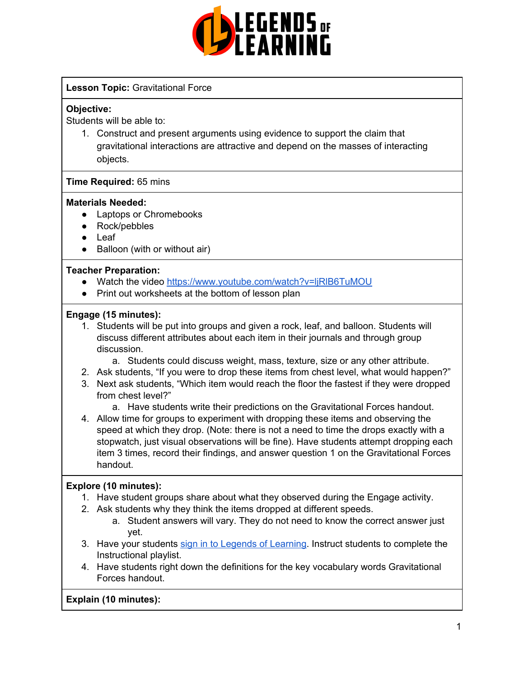

## **Lesson Topic:** Gravitational Force

#### **Objective:**

Students will be able to:

1. Construct and present arguments using evidence to support the claim that gravitational interactions are attractive and depend on the masses of interacting objects.

#### **Time Required:** 65 mins

#### **Materials Needed:**

- Laptops or Chromebooks
- Rock/pebbles
- Leaf
- Balloon (with or without air)

### **Teacher Preparation:**

- Watch the video <https://www.youtube.com/watch?v=ljRlB6TuMOU>
- Print out worksheets at the bottom of lesson plan

### **Engage (15 minutes):**

- 1. Students will be put into groups and given a rock, leaf, and balloon. Students will discuss different attributes about each item in their journals and through group discussion.
	- a. Students could discuss weight, mass, texture, size or any other attribute.
- 2. Ask students, "If you were to drop these items from chest level, what would happen?"
- 3. Next ask students, "Which item would reach the floor the fastest if they were dropped from chest level?"
	- a. Have students write their predictions on the Gravitational Forces handout.
- 4. Allow time for groups to experiment with dropping these items and observing the speed at which they drop. (Note: there is not a need to time the drops exactly with a stopwatch, just visual observations will be fine). Have students attempt dropping each item 3 times, record their findings, and answer question 1 on the Gravitational Forces handout.

# **Explore (10 minutes):**

- 1. Have student groups share about what they observed during the Engage activity.
- 2. Ask students why they think the items dropped at different speeds.
	- a. Student answers will vary. They do not need to know the correct answer just yet.
- 3. Have your students sign in to Legends of [Learning](https://intercom.help/legends-of-learning/en/articles/2154920-students-joining-a-playlist). Instruct students to complete the Instructional playlist.
- 4. Have students right down the definitions for the key vocabulary words Gravitational Forces handout.

**Explain (10 minutes):**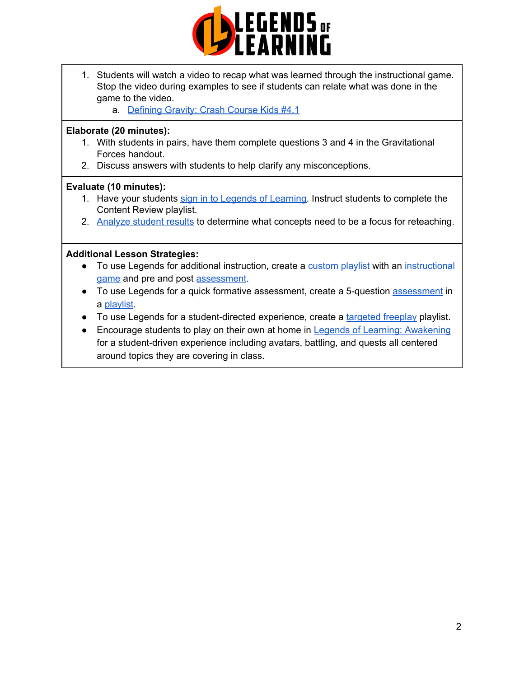

- 1. Students will watch a video to recap what was learned through the instructional game. Stop the video during examples to see if students can relate what was done in the game to the video.
	- a. [Defining](https://www.youtube.com/watch?v=ljRlB6TuMOU) Gravity: Crash Course Kids #4.1

#### **Elaborate (20 minutes):**

- 1. With students in pairs, have them complete questions 3 and 4 in the Gravitational Forces handout.
- 2. Discuss answers with students to help clarify any misconceptions.

### **Evaluate (10 minutes):**

- 1. Have your students sign in to Legends of [Learning](https://intercom.help/legends-of-learning/en/articles/2154920-students-joining-a-playlist). Instruct students to complete the Content Review playlist.
- 2. [Analyze](https://intercom.help/legends-of-learning/en/articles/2154918-tracking-student-progress-and-performance) student results to determine what concepts need to be a focus for reteaching.

### **Additional Lesson Strategies:**

- To use Legends for additional instruction, create a [custom](https://intercom.help/legends-of-learning/en/articles/2154910-creating-a-playlist) playlist with an [instructional](https://intercom.help/legends-of-learning/en/articles/3505828-types-of-games) [game](https://intercom.help/legends-of-learning/en/articles/3505828-types-of-games) and pre and post [assessment](https://intercom.help/legends-of-learning/en/articles/2154913-adding-assessments-to-a-playlist).
- To use Legends for a quick formative [assessment](https://intercom.help/legends-of-learning/en/articles/2154913-adding-assessments-to-a-playlist), create a 5-question assessment in a [playlist](https://intercom.help/legends-of-learning/en/articles/2154910-creating-a-playlist).
- To use Legends for a student-directed experience, create a [targeted](https://intercom.help/legends-of-learning/en/articles/3340814-targeted-freeplay) freeplay playlist.
- Encourage students to play on their own at home in Legends of Learning: [Awakening](https://intercom.help/legends-of-learning/en/articles/2425490-legends-of-learning-awakening) for a student-driven experience including avatars, battling, and quests all centered around topics they are covering in class.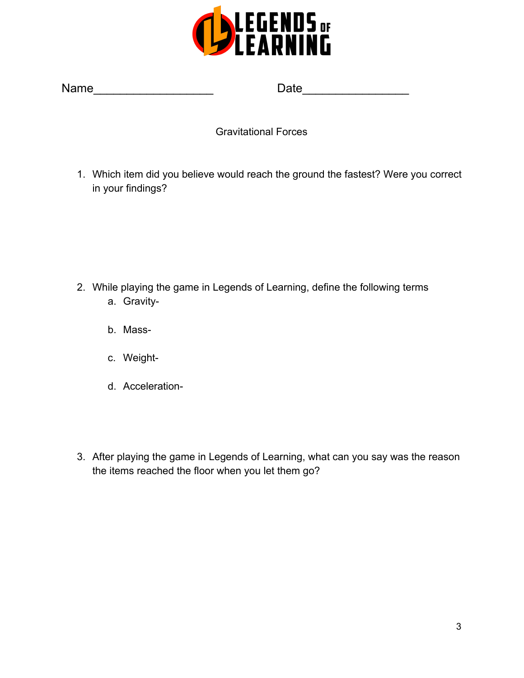

| <b>Name</b> |
|-------------|
|-------------|

Name\_\_\_\_\_\_\_\_\_\_\_\_\_\_\_\_\_\_ Date\_\_\_\_\_\_\_\_\_\_\_\_\_\_\_\_

Gravitational Forces

1. Which item did you believe would reach the ground the fastest? Were you correct in your findings?

- 2. While playing the game in Legends of Learning, define the following terms a. Gravity
	- b. Mass-
	- c. Weight-
	- d. Acceleration-
- 3. After playing the game in Legends of Learning, what can you say was the reason the items reached the floor when you let them go?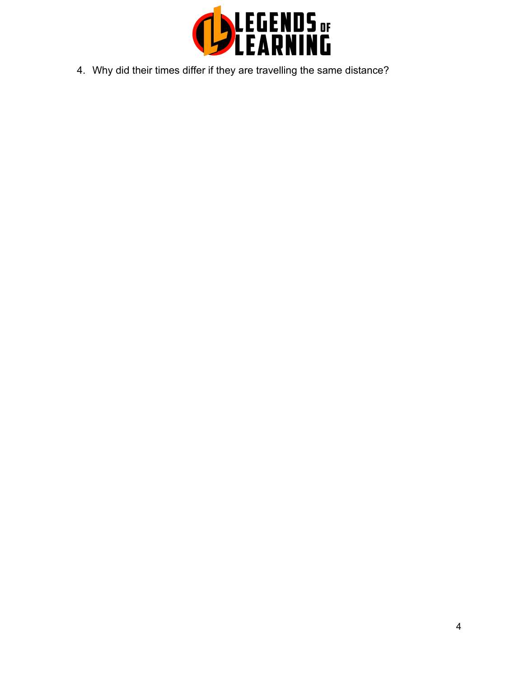

4. Why did their times differ if they are travelling the same distance?